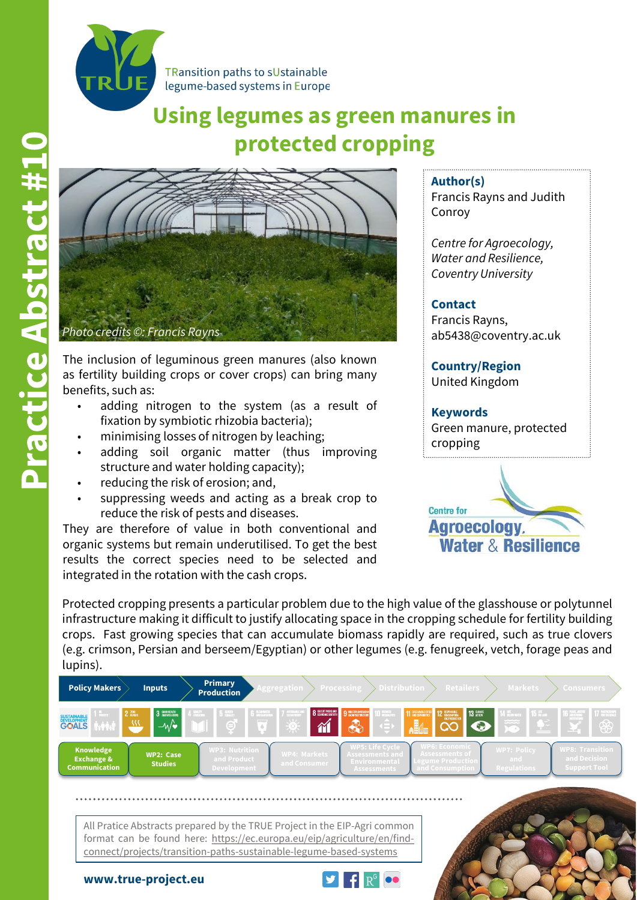

# **Using legumes as green manures in protected cropping**



The inclusion of leguminous green manures (also known as fertility building crops or cover crops) can bring many benefits, such as:

- adding nitrogen to the system (as a result of fixation by symbiotic rhizobia bacteria);
- minimising losses of nitrogen by leaching;
- adding soil organic matter (thus improving structure and water holding capacity);
- reducing the risk of erosion; and,
- suppressing weeds and acting as a break crop to reduce the risk of pests and diseases.

They are therefore of value in both conventional and organic systems but remain underutilised. To get the best results the correct species need to be selected and integrated in the rotation with the cash crops.

**Author(s)**

Francis Rayns and Judith Conroy

*Centre for Agroecology, Water and Resilience, Coventry University*

### **Contact**

Francis Rayns, ab5438@coventry.ac.uk

**Country/Region** United Kingdom

#### **Keywords**

Green manure, protected cropping



Protected cropping presents a particular problem due to the high value of the glasshouse or polytunnel infrastructure making it difficult to justify allocating space in the cropping schedule for fertility building crops. Fast growing species that can accumulate biomass rapidly are required, such as true clovers (e.g. crimson, Persian and berseem/Egyptian) or other legumes (e.g. fenugreek, vetch, forage peas and lupins).